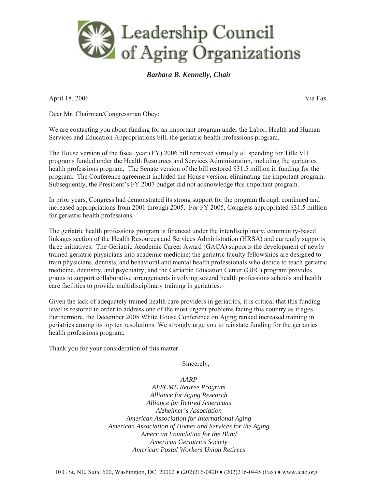

## *Barbara B. Kennelly, Chair*

April 18, 2006 Via Fax

Dear Mr. Chairman/Congressman Obey:

We are contacting you about funding for an important program under the Labor, Health and Human Services and Education Appropriations bill, the geriatric health professions program.

The House version of the fiscal year (FY) 2006 bill removed virtually all spending for Title VII programs funded under the Health Resources and Services Administration, including the geriatrics health professions program. The Senate version of the bill restored \$31.5 million in funding for the program. The Conference agreement included the House version, eliminating the important program. Subsequently, the President's FY 2007 budget did not acknowledge this important program.

In prior years, Congress had demonstrated its strong support for the program through continued and increased appropriations from 2001 through 2005. For FY 2005, Congress appropriated \$31.5 million for geriatric health professions.

The geriatric health professions program is financed under the interdisciplinary, community-based linkages section of the Health Resources and Services Administration (HRSA) and currently supports three initiatives. The Geriatric Academic Career Award (GACA) supports the development of newly trained geriatric physicians into academic medicine; the geriatric faculty fellowships are designed to train physicians, dentists, and behavioral and mental health professionals who decide to teach geriatric medicine, dentistry, and psychiatry; and the Geriatric Education Center (GEC) program provides grants to support collaborative arrangements involving several health professions schools and health care facilities to provide multidisciplinary training in geriatrics.

Given the lack of adequately trained health care providers in geriatrics, it is critical that this funding level is restored in order to address one of the most urgent problems facing this country as it ages. Furthermore, the December 2005 White House Conference on Aging ranked increased training in geriatrics among its top ten resolutions. We strongly urge you to reinstate funding for the geriatrics health professions program.

Thank you for your consideration of this matter.

Sincerely,

*AARP*

*AFSCME Retiree Program Alliance for Aging Research Alliance for Retired Americans Alzheimer's Association American Association for International Aging American Association of Homes and Services for the Aging American Foundation for the Blind American Geriatrics Society American Postal Workers Union Retirees*